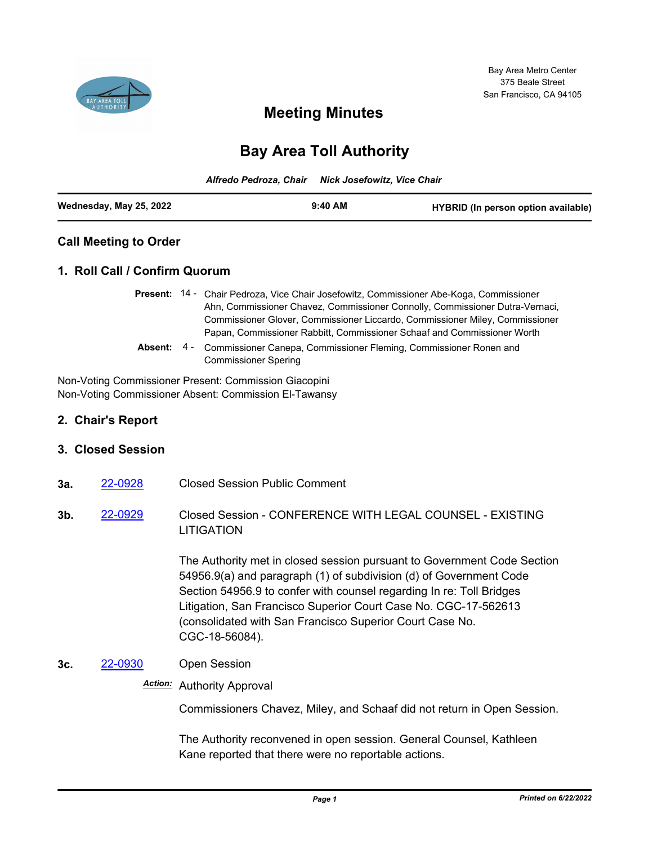

# **Meeting Minutes**

# **Bay Area Toll Authority**

|                         | Alfredo Pedroza, Chair Nick Josefowitz, Vice Chair |           |                                     |
|-------------------------|----------------------------------------------------|-----------|-------------------------------------|
| Wednesday, May 25, 2022 |                                                    | $9:40$ AM | HYBRID (In person option available) |

## **Call Meeting to Order**

## **1. Roll Call / Confirm Quorum**

- Present: 14 Chair Pedroza, Vice Chair Josefowitz, Commissioner Abe-Koga, Commissioner Ahn, Commissioner Chavez, Commissioner Connolly, Commissioner Dutra-Vernaci, Commissioner Glover, Commissioner Liccardo, Commissioner Miley, Commissioner Papan, Commissioner Rabbitt, Commissioner Schaaf and Commissioner Worth
- Commissioner Canepa, Commissioner Fleming, Commissioner Ronen and Commissioner Spering **Absent:** 4 -

Non-Voting Commissioner Present: Commission Giacopini Non-Voting Commissioner Absent: Commission El-Tawansy

## **2. Chair's Report**

#### **3. Closed Session**

- **3a.** [22-0928](http://mtc.legistar.com/gateway.aspx?m=l&id=/matter.aspx?key=24187) Closed Session Public Comment
- **3b.** [22-0929](http://mtc.legistar.com/gateway.aspx?m=l&id=/matter.aspx?key=24188) Closed Session CONFERENCE WITH LEGAL COUNSEL EXISTING LITIGATION

The Authority met in closed session pursuant to Government Code Section 54956.9(a) and paragraph (1) of subdivision (d) of Government Code Section 54956.9 to confer with counsel regarding In re: Toll Bridges Litigation, San Francisco Superior Court Case No. CGC-17-562613 (consolidated with San Francisco Superior Court Case No. CGC-18-56084).

#### **3c.** [22-0930](http://mtc.legistar.com/gateway.aspx?m=l&id=/matter.aspx?key=24189) Open Session

# *Action:* Authority Approval

Commissioners Chavez, Miley, and Schaaf did not return in Open Session.

The Authority reconvened in open session. General Counsel, Kathleen Kane reported that there were no reportable actions.